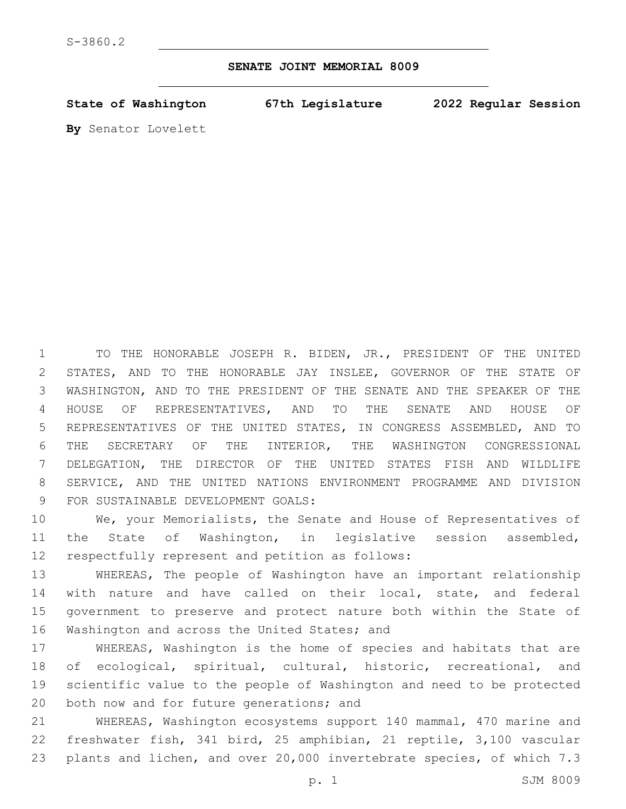**SENATE JOINT MEMORIAL 8009**

**State of Washington 67th Legislature 2022 Regular Session**

**By** Senator Lovelett

 TO THE HONORABLE JOSEPH R. BIDEN, JR., PRESIDENT OF THE UNITED STATES, AND TO THE HONORABLE JAY INSLEE, GOVERNOR OF THE STATE OF WASHINGTON, AND TO THE PRESIDENT OF THE SENATE AND THE SPEAKER OF THE HOUSE OF REPRESENTATIVES, AND TO THE SENATE AND HOUSE OF REPRESENTATIVES OF THE UNITED STATES, IN CONGRESS ASSEMBLED, AND TO THE SECRETARY OF THE INTERIOR, THE WASHINGTON CONGRESSIONAL DELEGATION, THE DIRECTOR OF THE UNITED STATES FISH AND WILDLIFE SERVICE, AND THE UNITED NATIONS ENVIRONMENT PROGRAMME AND DIVISION 9 FOR SUSTAINABLE DEVELOPMENT GOALS:

 We, your Memorialists, the Senate and House of Representatives of the State of Washington, in legislative session assembled, 12 respectfully represent and petition as follows:

 WHEREAS, The people of Washington have an important relationship with nature and have called on their local, state, and federal government to preserve and protect nature both within the State of 16 Washington and across the United States; and

 WHEREAS, Washington is the home of species and habitats that are of ecological, spiritual, cultural, historic, recreational, and scientific value to the people of Washington and need to be protected 20 both now and for future generations; and

 WHEREAS, Washington ecosystems support 140 mammal, 470 marine and freshwater fish, 341 bird, 25 amphibian, 21 reptile, 3,100 vascular plants and lichen, and over 20,000 invertebrate species, of which 7.3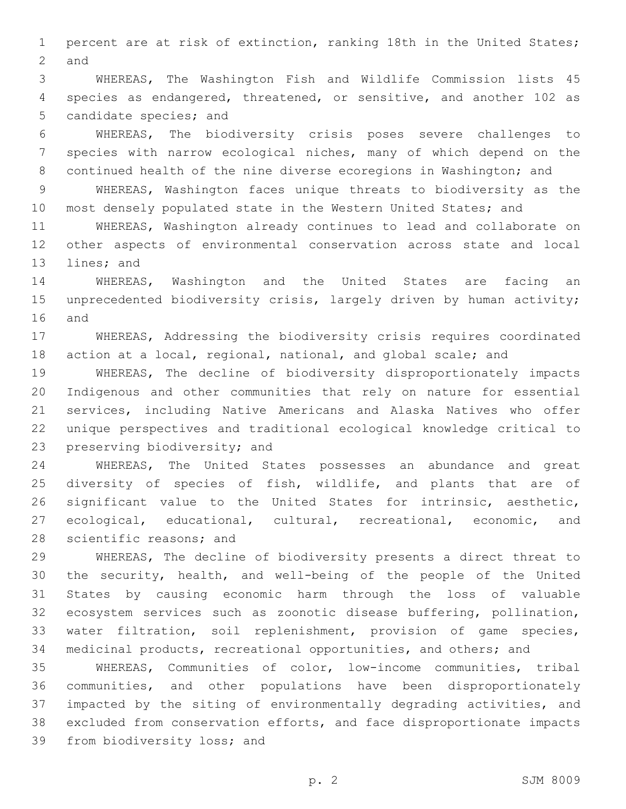percent are at risk of extinction, ranking 18th in the United States; 2 and

 WHEREAS, The Washington Fish and Wildlife Commission lists 45 species as endangered, threatened, or sensitive, and another 102 as 5 candidate species; and

 WHEREAS, The biodiversity crisis poses severe challenges to species with narrow ecological niches, many of which depend on the continued health of the nine diverse ecoregions in Washington; and

 WHEREAS, Washington faces unique threats to biodiversity as the most densely populated state in the Western United States; and

 WHEREAS, Washington already continues to lead and collaborate on other aspects of environmental conservation across state and local 13 lines; and

 WHEREAS, Washington and the United States are facing an unprecedented biodiversity crisis, largely driven by human activity; 16 and

 WHEREAS, Addressing the biodiversity crisis requires coordinated action at a local, regional, national, and global scale; and

 WHEREAS, The decline of biodiversity disproportionately impacts Indigenous and other communities that rely on nature for essential services, including Native Americans and Alaska Natives who offer unique perspectives and traditional ecological knowledge critical to 23 preserving biodiversity; and

 WHEREAS, The United States possesses an abundance and great 25 diversity of species of fish, wildlife, and plants that are of significant value to the United States for intrinsic, aesthetic, ecological, educational, cultural, recreational, economic, and 28 scientific reasons; and

 WHEREAS, The decline of biodiversity presents a direct threat to the security, health, and well-being of the people of the United States by causing economic harm through the loss of valuable ecosystem services such as zoonotic disease buffering, pollination, water filtration, soil replenishment, provision of game species, medicinal products, recreational opportunities, and others; and

 WHEREAS, Communities of color, low-income communities, tribal communities, and other populations have been disproportionately impacted by the siting of environmentally degrading activities, and excluded from conservation efforts, and face disproportionate impacts 39 from biodiversity loss; and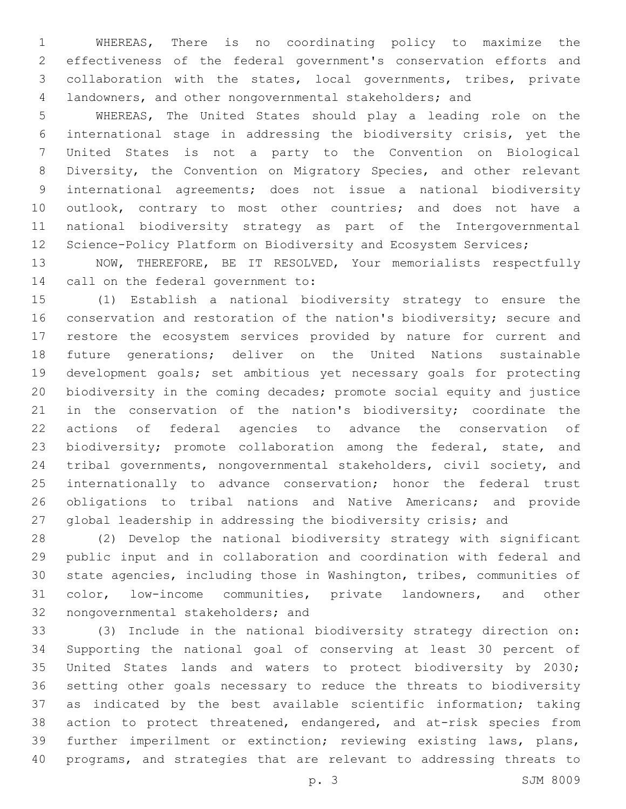WHEREAS, There is no coordinating policy to maximize the effectiveness of the federal government's conservation efforts and collaboration with the states, local governments, tribes, private landowners, and other nongovernmental stakeholders; and

 WHEREAS, The United States should play a leading role on the international stage in addressing the biodiversity crisis, yet the United States is not a party to the Convention on Biological Diversity, the Convention on Migratory Species, and other relevant international agreements; does not issue a national biodiversity 10 outlook, contrary to most other countries; and does not have a national biodiversity strategy as part of the Intergovernmental 12 Science-Policy Platform on Biodiversity and Ecosystem Services;

 NOW, THEREFORE, BE IT RESOLVED, Your memorialists respectfully 14 call on the federal government to:

 (1) Establish a national biodiversity strategy to ensure the conservation and restoration of the nation's biodiversity; secure and restore the ecosystem services provided by nature for current and future generations; deliver on the United Nations sustainable development goals; set ambitious yet necessary goals for protecting biodiversity in the coming decades; promote social equity and justice in the conservation of the nation's biodiversity; coordinate the actions of federal agencies to advance the conservation of 23 biodiversity; promote collaboration among the federal, state, and tribal governments, nongovernmental stakeholders, civil society, and internationally to advance conservation; honor the federal trust obligations to tribal nations and Native Americans; and provide global leadership in addressing the biodiversity crisis; and

 (2) Develop the national biodiversity strategy with significant public input and in collaboration and coordination with federal and state agencies, including those in Washington, tribes, communities of color, low-income communities, private landowners, and other 32 nongovernmental stakeholders; and

 (3) Include in the national biodiversity strategy direction on: Supporting the national goal of conserving at least 30 percent of United States lands and waters to protect biodiversity by 2030; setting other goals necessary to reduce the threats to biodiversity as indicated by the best available scientific information; taking action to protect threatened, endangered, and at-risk species from further imperilment or extinction; reviewing existing laws, plans, programs, and strategies that are relevant to addressing threats to